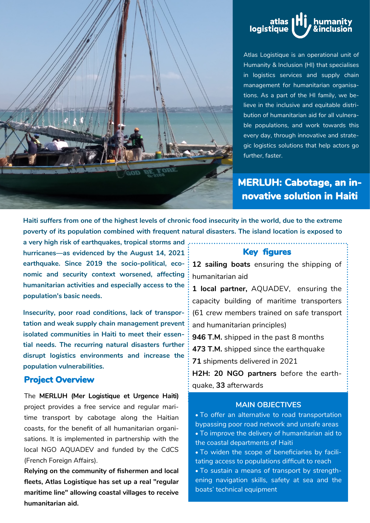



Atlas Logistique is an operational unit of Humanity & Inclusion (HI) that specialises in logistics services and supply chain management for humanitarian organisations. As a part of the HI family, we believe in the inclusive and equitable distribution of humanitarian aid for all vulnerable populations, and work towards this every day, through innovative and strategic logistics solutions that help actors go further, faster.

# **MERLUH: Cabotage, an innovative solution in Haiti**

**Haiti suffers from one of the highest levels of chronic food insecurity in the world, due to the extreme poverty of its population combined with frequent natural disasters. The island location is exposed to** 

. . . . . . . . . . . . . .

**a very high risk of earthquakes, tropical storms and hurricanes—as evidenced by the August 14, 2021 earthquake. Since 2019 the socio-political, economic and security context worsened, affecting humanitarian activities and especially access to the population's basic needs.** 

**Insecurity, poor road conditions, lack of transportation and weak supply chain management prevent isolated communities in Haiti to meet their essential needs. The recurring natural disasters further disrupt logistics environments and increase the population vulnerabilities.** 

#### **Project Overview**

The **MERLUH (Mer Logistique et Urgence Haiti)**  project provides a free service and regular maritime transport by cabotage along the Haitian coasts, for the benefit of all humanitarian organisations. It is implemented in partnership with the local NGO AQUADEV and funded by the CdCS (French Foreign Affairs).

**Relying on the community of fishermen and local fleets, Atlas Logistique has set up a real "regular maritime line" allowing coastal villages to receive humanitarian aid.** 

#### **Key figures**

**12 sailing boats** ensuring the shipping of humanitarian aid

**1 local partner,** AQUADEV, ensuring the capacity building of maritime transporters (61 crew members trained on safe transport and humanitarian principles)

**946 T.M.** shipped in the past 8 months

**473 T.M.** shipped since the earthquake

**71** shipments delivered in 2021

**H2H: 20 NGO partners** before the earthquake, **33** afterwards

#### **MAIN OBJECTIVES**

 To offer an alternative to road transportation bypassing poor road network and unsafe areas To improve the delivery of humanitarian aid to the coastal departments of Haiti

 To widen the scope of beneficiaries by facilitating access to populations difficult to reach

 To sustain a means of transport by strengthening navigation skills, safety at sea and the boats' technical equipment